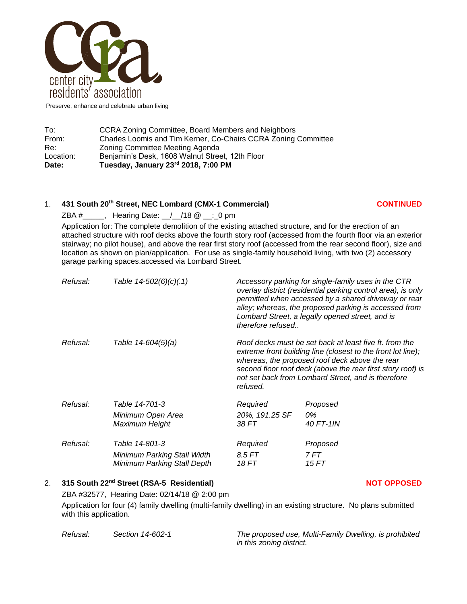

Preserve, enhance and celebrate urban living

| Date:     | Tuesday, January 23rd 2018, 7:00 PM                                                               |  |  |
|-----------|---------------------------------------------------------------------------------------------------|--|--|
| Location: | Benjamin's Desk, 1608 Walnut Street, 12th Floor                                                   |  |  |
| Re:       | Charles Loomis and Tim Kerner, Co-Chairs CCRA Zoning Committee<br>Zoning Committee Meeting Agenda |  |  |
| From:     |                                                                                                   |  |  |
| To:       | CCRA Zoning Committee, Board Members and Neighbors                                                |  |  |

## 1. **431 South 20th Street, NEC Lombard (CMX-1 Commercial) CONTINUED**

ZBA #\_\_\_\_\_, Hearing Date: \_\_/\_\_/18 @ \_\_:\_0 pm

Application for: The complete demolition of the existing attached structure, and for the erection of an attached structure with roof decks above the fourth story roof (accessed from the fourth floor via an exterior stairway; no pilot house), and above the rear first story roof (accessed from the rear second floor), size and location as shown on plan/application. For use as single-family household living, with two (2) accessory garage parking spaces.accessed via Lombard Street.

| Refusal: | Table 14-502(6)(c)(.1)              | Accessory parking for single-family uses in the CTR<br>overlay district (residential parking control area), is only<br>permitted when accessed by a shared driveway or rear<br>alley; whereas, the proposed parking is accessed from<br>Lombard Street, a legally opened street, and is<br>therefore refused |                 |
|----------|-------------------------------------|--------------------------------------------------------------------------------------------------------------------------------------------------------------------------------------------------------------------------------------------------------------------------------------------------------------|-----------------|
| Refusal: | Table 14-604(5)(a)                  | Roof decks must be set back at least five ft. from the<br>extreme front building line (closest to the front lot line);<br>whereas, the proposed roof deck above the rear<br>second floor roof deck (above the rear first story roof) is<br>not set back from Lombard Street, and is therefore<br>refused.    |                 |
| Refusal: | Table 14-701-3                      | Required                                                                                                                                                                                                                                                                                                     | Proposed        |
|          | Minimum Open Area<br>Maximum Height | 20%, 191.25 SF<br>38 FT                                                                                                                                                                                                                                                                                      | 0%<br>40 FT-1IN |
|          |                                     |                                                                                                                                                                                                                                                                                                              |                 |
| Refusal: | Table 14-801-3                      | Required                                                                                                                                                                                                                                                                                                     | Proposed        |
|          | Minimum Parking Stall Width         | 8.5 FT                                                                                                                                                                                                                                                                                                       | 7 FT            |
|          | Minimum Parking Stall Depth         | 18 FT                                                                                                                                                                                                                                                                                                        | 15 FT           |

## 2. **315 South 22nd Street (RSA-5 Residential) NOT OPPOSED**

ZBA #32577, Hearing Date: 02/14/18 @ 2:00 pm

Application for four (4) family dwelling (multi-family dwelling) in an existing structure. No plans submitted with this application.

*Refusal: Section 14-602-1 The proposed use, Multi-Family Dwelling, is prohibited in this zoning district.*